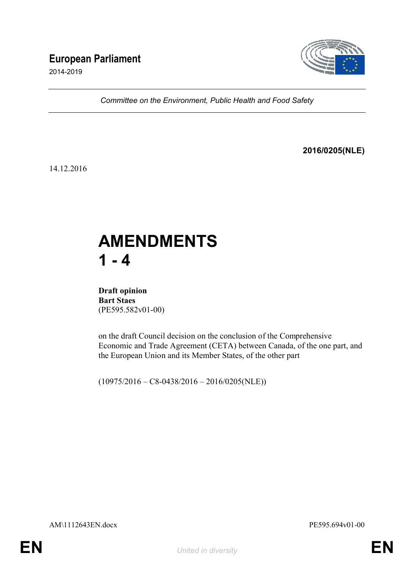## **European Parliament**

2014-2019



*Committee on the Environment, Public Health and Food Safety*

### **2016/0205(NLE)**

14.12.2016

# **AMENDMENTS 1 - 4**

**Draft opinion Bart Staes** (PE595.582v01-00)

on the draft Council decision on the conclusion of the Comprehensive Economic and Trade Agreement (CETA) between Canada, of the one part, and the European Union and its Member States, of the other part

 $(10975/2016 - C8 - 0438/2016 - 2016/0205(NLE))$ 

AM\1112643EN.docx PE595.694v01-00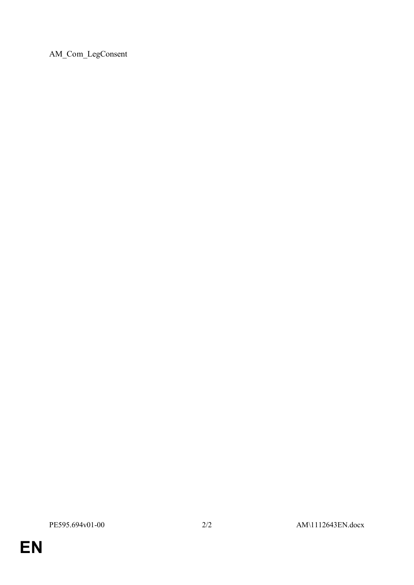AM\_Com\_LegConsent

PE595.694v01-00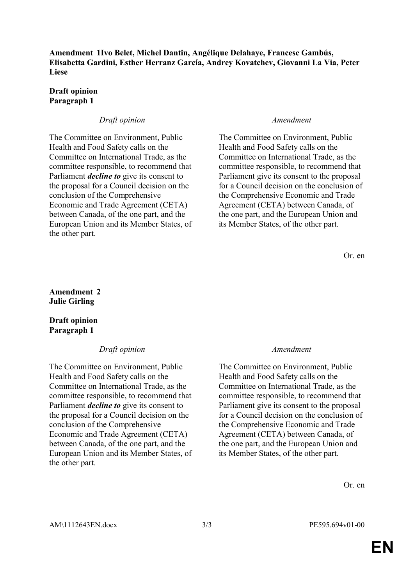**Amendment 1Ivo Belet, Michel Dantin, Angélique Delahaye, Francesc Gambús, Elisabetta Gardini, Esther Herranz García, Andrey Kovatchev, Giovanni La Via, Peter Liese**

### **Draft opinion Paragraph 1**

### *Draft opinion Amendment*

The Committee on Environment, Public Health and Food Safety calls on the Committee on International Trade, as the committee responsible, to recommend that Parliament *decline to* give its consent to the proposal for a Council decision on the conclusion of the Comprehensive Economic and Trade Agreement (CETA) between Canada, of the one part, and the European Union and its Member States, of the other part.

The Committee on Environment, Public Health and Food Safety calls on the Committee on International Trade, as the committee responsible, to recommend that Parliament give its consent to the proposal for a Council decision on the conclusion of the Comprehensive Economic and Trade Agreement (CETA) between Canada, of the one part, and the European Union and its Member States, of the other part.

Or. en

### **Amendment 2 Julie Girling**

### **Draft opinion Paragraph 1**

### *Draft opinion Amendment*

The Committee on Environment, Public Health and Food Safety calls on the Committee on International Trade, as the committee responsible, to recommend that Parliament *decline to* give its consent to the proposal for a Council decision on the conclusion of the Comprehensive Economic and Trade Agreement (CETA) between Canada, of the one part, and the European Union and its Member States, of the other part.

The Committee on Environment, Public Health and Food Safety calls on the Committee on International Trade, as the committee responsible, to recommend that Parliament give its consent to the proposal for a Council decision on the conclusion of the Comprehensive Economic and Trade Agreement (CETA) between Canada, of the one part, and the European Union and its Member States, of the other part.

Or. en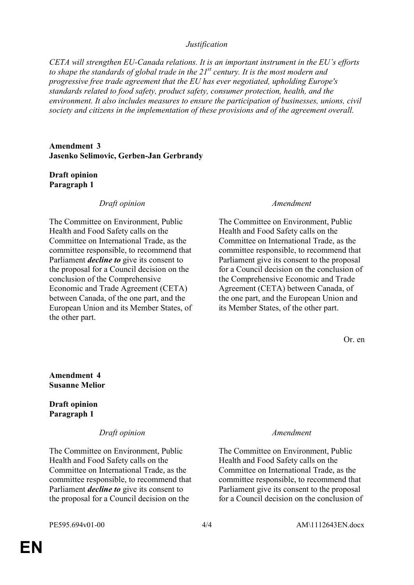### *Justification*

*CETA will strengthen EU-Canada relations. It is an important instrument in the EU's efforts to shape the standards of global trade in the 21st century. It is the most modern and progressive free trade agreement that the EU has ever negotiated, upholding Europe's standards related to food safety, product safety, consumer protection, health, and the environment. It also includes measures to ensure the participation of businesses, unions, civil society and citizens in the implementation of these provisions and of the agreement overall.* 

**Amendment 3 Jasenko Selimovic, Gerben-Jan Gerbrandy**

### **Draft opinion Paragraph 1**

### *Draft opinion Amendment*

The Committee on Environment, Public Health and Food Safety calls on the Committee on International Trade, as the committee responsible, to recommend that Parliament *decline to* give its consent to the proposal for a Council decision on the conclusion of the Comprehensive Economic and Trade Agreement (CETA) between Canada, of the one part, and the European Union and its Member States, of the other part.

The Committee on Environment, Public Health and Food Safety calls on the Committee on International Trade, as the committee responsible, to recommend that Parliament give its consent to the proposal for a Council decision on the conclusion of the Comprehensive Economic and Trade Agreement (CETA) between Canada, of the one part, and the European Union and its Member States, of the other part.

Or. en

### **Amendment 4 Susanne Melior**

**Draft opinion Paragraph 1**

### *Draft opinion Amendment*

The Committee on Environment, Public Health and Food Safety calls on the Committee on International Trade, as the committee responsible, to recommend that Parliament *decline to* give its consent to the proposal for a Council decision on the

The Committee on Environment, Public Health and Food Safety calls on the Committee on International Trade, as the committee responsible, to recommend that Parliament give its consent to the proposal for a Council decision on the conclusion of